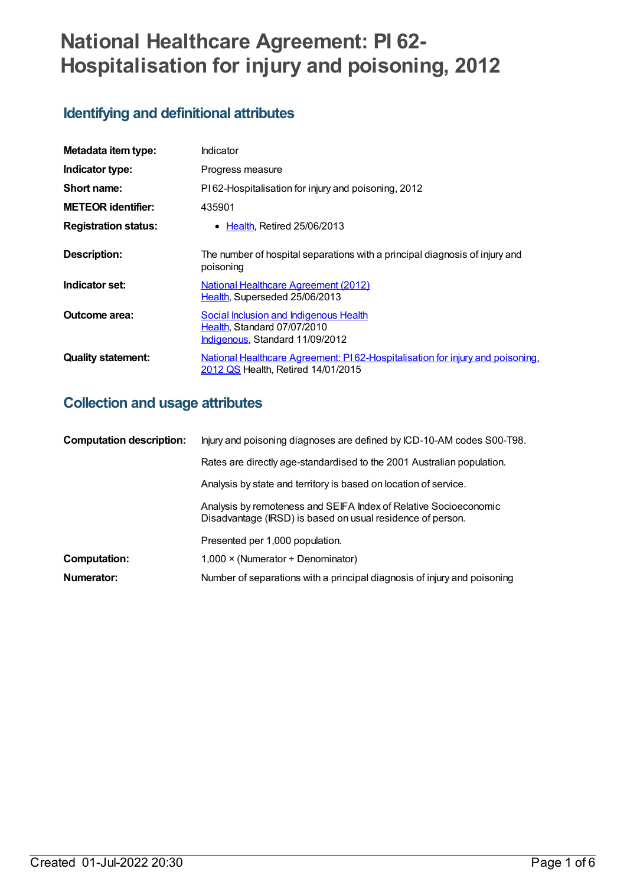# **National Healthcare Agreement: PI 62- Hospitalisation for injury and poisoning, 2012**

# **Identifying and definitional attributes**

| Metadata item type:         | Indicator                                                                                                           |  |
|-----------------------------|---------------------------------------------------------------------------------------------------------------------|--|
| Indicator type:             | Progress measure                                                                                                    |  |
| Short name:                 | PI62-Hospitalisation for injury and poisoning, 2012                                                                 |  |
| <b>METEOR identifier:</b>   | 435901                                                                                                              |  |
| <b>Registration status:</b> | • Health, Retired 25/06/2013                                                                                        |  |
| <b>Description:</b>         | The number of hospital separations with a principal diagnosis of injury and<br>poisoning                            |  |
| Indicator set:              | <b>National Healthcare Agreement (2012)</b><br>Health, Superseded 25/06/2013                                        |  |
| Outcome area:               | Social Inclusion and Indigenous Health<br>Health, Standard 07/07/2010<br>Indigenous, Standard 11/09/2012            |  |
| <b>Quality statement:</b>   | National Healthcare Agreement: PI62-Hospitalisation for injury and poisoning,<br>2012 QS Health, Retired 14/01/2015 |  |

# **Collection and usage attributes**

| <b>Computation description:</b> | Injury and poisoning diagnoses are defined by ICD-10-AM codes S00-T98.                                                         |  |
|---------------------------------|--------------------------------------------------------------------------------------------------------------------------------|--|
|                                 | Rates are directly age-standardised to the 2001 Australian population.                                                         |  |
|                                 | Analysis by state and territory is based on location of service.                                                               |  |
|                                 | Analysis by remoteness and SEIFA Index of Relative Socioeconomic<br>Disadvantage (IRSD) is based on usual residence of person. |  |
|                                 | Presented per 1,000 population.                                                                                                |  |
| <b>Computation:</b>             | $1,000 \times (Numerator + Denominator)$                                                                                       |  |
| Numerator:                      | Number of separations with a principal diagnosis of injury and poisoning                                                       |  |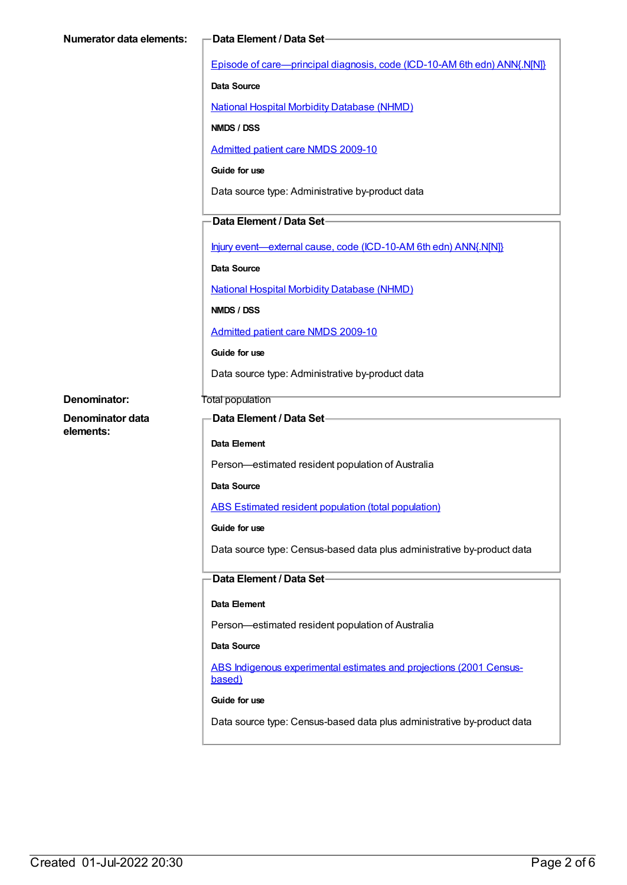| <b>Numerator data elements:</b> | Data Element / Data Set-                                                      |
|---------------------------------|-------------------------------------------------------------------------------|
|                                 | Episode of care—principal diagnosis, code (ICD-10-AM 6th edn) ANN{.N[N]}      |
|                                 | <b>Data Source</b>                                                            |
|                                 | <b>National Hospital Morbidity Database (NHMD)</b>                            |
|                                 | NMDS / DSS                                                                    |
|                                 | <b>Admitted patient care NMDS 2009-10</b>                                     |
|                                 | Guide for use                                                                 |
|                                 | Data source type: Administrative by-product data                              |
|                                 | Data Element / Data Set-                                                      |
|                                 | Injury event—external cause, code (ICD-10-AM 6th edn) ANN{.N[N]}              |
|                                 | <b>Data Source</b>                                                            |
|                                 | <b>National Hospital Morbidity Database (NHMD)</b>                            |
|                                 | NMDS / DSS                                                                    |
|                                 | <b>Admitted patient care NMDS 2009-10</b>                                     |
|                                 | Guide for use                                                                 |
|                                 | Data source type: Administrative by-product data                              |
| <b>Denominator:</b>             | Total population                                                              |
| Denominator data<br>elements:   | Data Element / Data Set-                                                      |
|                                 | Data Element                                                                  |
|                                 | Person-estimated resident population of Australia                             |
|                                 | Data Source                                                                   |
|                                 | ABS Estimated resident population (total population)                          |
|                                 | Guide for use                                                                 |
|                                 | Data source type: Census-based data plus administrative by-product data       |
|                                 | Data Element / Data Set-                                                      |
|                                 | Data Element                                                                  |
|                                 | Person-estimated resident population of Australia                             |
|                                 | Data Source                                                                   |
|                                 | ABS Indigenous experimental estimates and projections (2001 Census-<br>based) |
|                                 | Guide for use                                                                 |
|                                 | Data source type: Census-based data plus administrative by-product data       |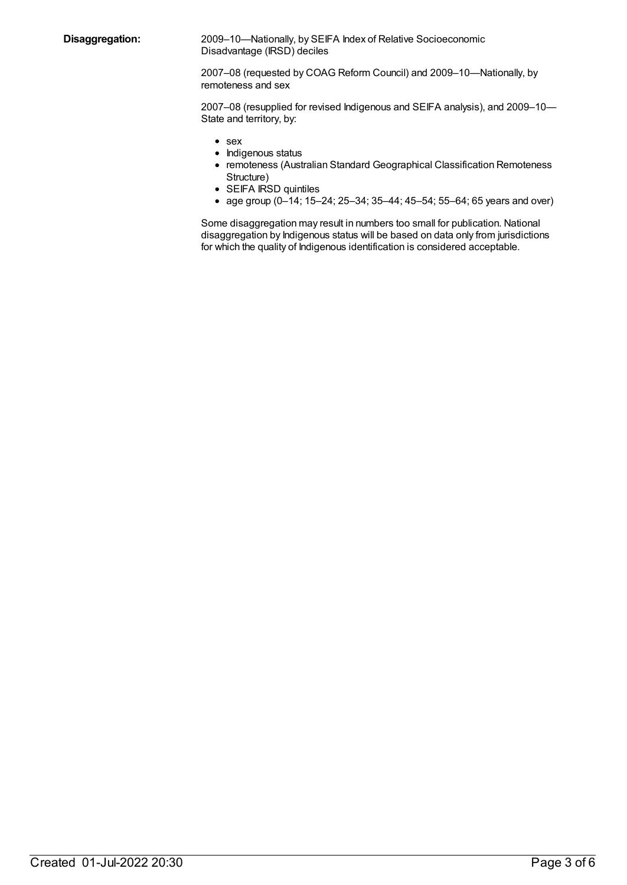**Disaggregation:** 2009–10—Nationally, by SEIFA Index of Relative Socioeconomic Disadvantage (IRSD) deciles

> 2007–08 (requested by COAG Reform Council) and 2009–10—Nationally, by remoteness and sex

2007–08 (resupplied for revised Indigenous and SEIFA analysis), and 2009–10— State and territory, by:

- sex
- Indigenous status
- remoteness (Australian Standard Geographical Classification Remoteness Structure)
- SEIFA IRSD quintiles
- age group (0–14; 15–24; 25–34; 35–44; 45–54; 55–64; 65 years and over)

Some disaggregation may result in numbers too small for publication. National disaggregation by Indigenous status will be based on data only from jurisdictions for which the quality of Indigenous identification is considered acceptable.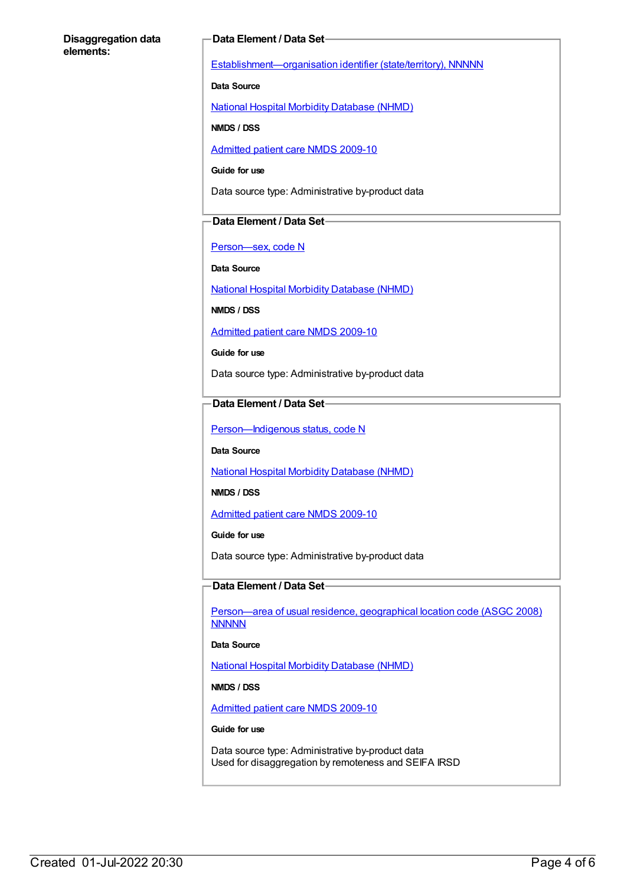#### **Disaggregation data elements:**

#### **Data Element / Data Set**

[Establishment—organisation](https://meteor.aihw.gov.au/content/269975) identifier (state/territory), NNNNN

**Data Source**

National Hospital Morbidity [Database](https://meteor.aihw.gov.au/content/394352) (NHMD)

**NMDS / DSS**

[Admitted](https://meteor.aihw.gov.au/content/374205) patient care NMDS 2009-10

**Guide for use**

Data source type: Administrative by-product data

#### **Data Element / Data Set**

[Person—sex,](https://meteor.aihw.gov.au/content/287316) code N

**Data Source**

National Hospital Morbidity [Database](https://meteor.aihw.gov.au/content/394352) (NHMD)

**NMDS / DSS**

[Admitted](https://meteor.aihw.gov.au/content/374205) patient care NMDS 2009-10

**Guide for use**

Data source type: Administrative by-product data

#### **Data Element / Data Set**

Person-Indigenous status, code N

**Data Source**

National Hospital Morbidity [Database](https://meteor.aihw.gov.au/content/394352) (NHMD)

**NMDS / DSS**

[Admitted](https://meteor.aihw.gov.au/content/374205) patient care NMDS 2009-10

**Guide for use**

Data source type: Administrative by-product data

#### **Data Element / Data Set**

[Person—area](https://meteor.aihw.gov.au/content/377103) of usual residence, geographical location code (ASGC 2008) **NNNNN** 

**Data Source**

National Hospital Morbidity [Database](https://meteor.aihw.gov.au/content/394352) (NHMD)

**NMDS / DSS**

[Admitted](https://meteor.aihw.gov.au/content/374205) patient care NMDS 2009-10

#### **Guide for use**

Data source type: Administrative by-product data Used for disaggregation by remoteness and SEIFA IRSD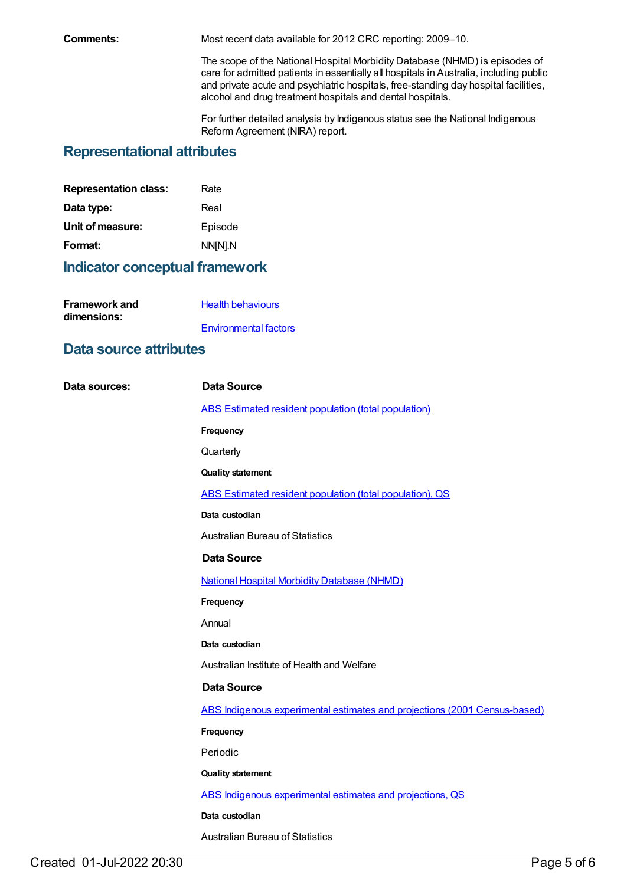**Comments:** Most recent data available for 2012 CRC reporting: 2009–10.

The scope of the National Hospital Morbidity Database (NHMD) is episodes of care for admitted patients in essentially all hospitals in Australia, including public and private acute and psychiatric hospitals, free-standing day hospital facilities, alcohol and drug treatment hospitals and dental hospitals.

For further detailed analysis by Indigenous status see the National Indigenous Reform Agreement (NIRA) report.

### **Representational attributes**

| <b>Representation class:</b> | Rate    |
|------------------------------|---------|
| Data type:                   | Real    |
| Unit of measure:             | Episode |
| Format:                      | NN[N].N |
|                              |         |

## **Indicator conceptual framework**

| <b>Framework and</b> | <b>Health behaviours</b>     |
|----------------------|------------------------------|
| dimensions:          |                              |
|                      | <b>Environmental factors</b> |

### **Data source attributes**

| Data sources: | <b>Data Source</b>                                                        |
|---------------|---------------------------------------------------------------------------|
|               | ABS Estimated resident population (total population)                      |
|               | Frequency                                                                 |
|               | Quarterly                                                                 |
|               | <b>Quality statement</b>                                                  |
|               | ABS Estimated resident population (total population), QS                  |
|               | Data custodian                                                            |
|               | <b>Australian Bureau of Statistics</b>                                    |
|               | <b>Data Source</b>                                                        |
|               | <b>National Hospital Morbidity Database (NHMD)</b>                        |
|               | Frequency                                                                 |
|               | Annual                                                                    |
|               | Data custodian                                                            |
|               | Australian Institute of Health and Welfare                                |
|               | <b>Data Source</b>                                                        |
|               | ABS Indigenous experimental estimates and projections (2001 Census-based) |
|               | Frequency                                                                 |
|               | Periodic                                                                  |
|               | <b>Quality statement</b>                                                  |
|               | ABS Indigenous experimental estimates and projections, QS                 |
|               | Data custodian                                                            |
|               | <b>Australian Bureau of Statistics</b>                                    |